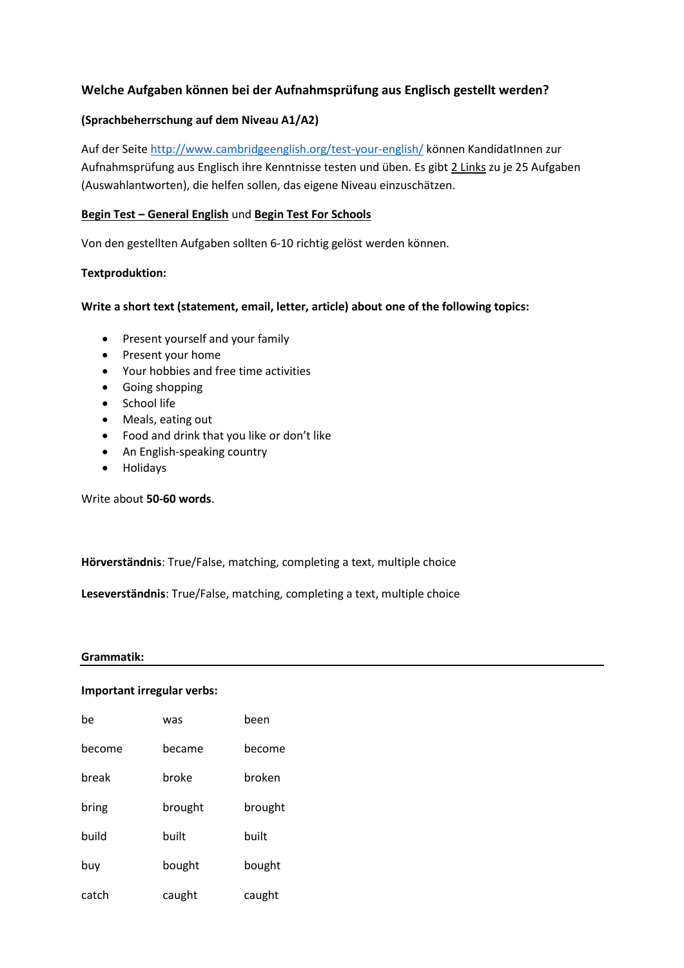# **Welche Aufgaben können bei der Aufnahmsprüfung aus Englisch gestellt werden?**

# **(Sprachbeherrschung auf dem Niveau A1/A2)**

Auf der Seite<http://www.cambridgeenglish.org/test-your-english/> können KandidatInnen zur Aufnahmsprüfung aus Englisch ihre Kenntnisse testen und üben. Es gibt 2 Links zu je 25 Aufgaben (Auswahlantworten), die helfen sollen, das eigene Niveau einzuschätzen.

### **Begin Test – General English** und **Begin Test For Schools**

Von den gestellten Aufgaben sollten 6-10 richtig gelöst werden können.

# **Textproduktion:**

# **Write a short text (statement, email, letter, article) about one of the following topics:**

- Present yourself and your family
- Present your home
- Your hobbies and free time activities
- Going shopping
- School life
- Meals, eating out
- Food and drink that you like or don't like
- An English-speaking country
- Holidays

Write about **50-60 words**.

**Hörverständnis**: True/False, matching, completing a text, multiple choice

**Leseverständnis**: True/False, matching, completing a text, multiple choice

#### **Grammatik:**

#### **Important irregular verbs:**

| he     | was     | been    |
|--------|---------|---------|
| become | hecame  | become  |
| break  | broke   | broken  |
| bring  | brought | brought |
| huild  | built   | built   |
| buy    | bought  | bought  |
| catch  | caught  | caught  |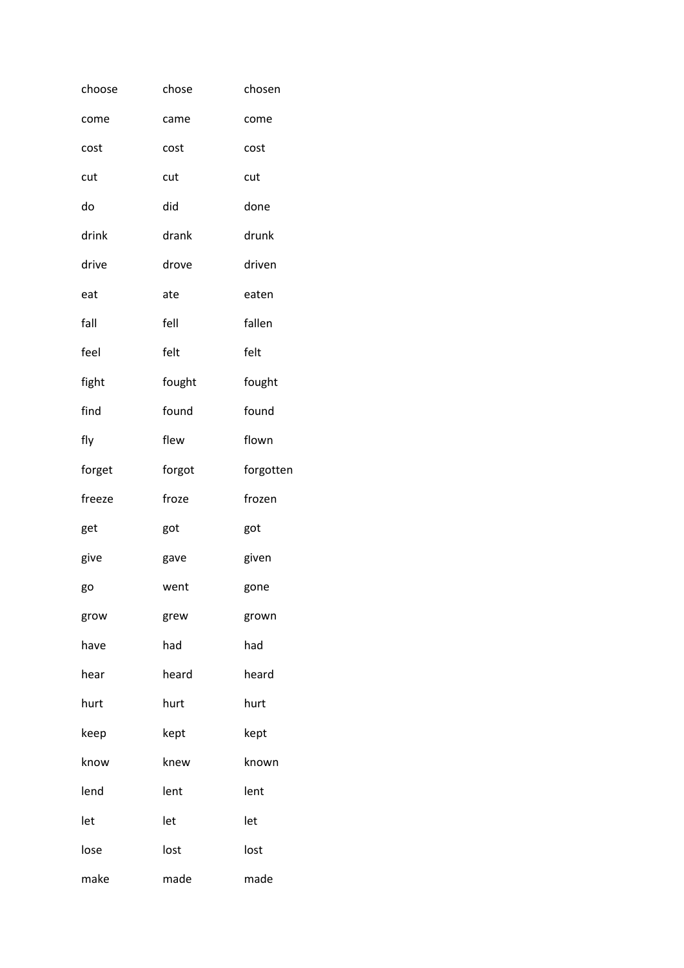| choose | chose  | chosen    |
|--------|--------|-----------|
| come   | came   | come      |
| cost   | cost   | cost      |
| cut    | cut    | cut       |
| do     | did    | done      |
| drink  | drank  | drunk     |
| drive  | drove  | driven    |
| eat    | ate    | eaten     |
| fall   | fell   | fallen    |
| feel   | felt   | felt      |
| fight  | fought | fought    |
| find   | found  | found     |
| fly    | flew   | flown     |
| forget | forgot | forgotten |
| freeze | froze  | frozen    |
| get    | got    | got       |
| give   | gave   | given     |
| go     | went   | gone      |
| grow   | grew   | grown     |
| have   | had    | had       |
| hear   | heard  | heard     |
| hurt   |        |           |
|        | hurt   | hurt      |
| keep   | kept   | kept      |
| know   | knew   | known     |
| lend   | lent   | lent      |
| let    | let    | let       |
| lose   | lost   | lost      |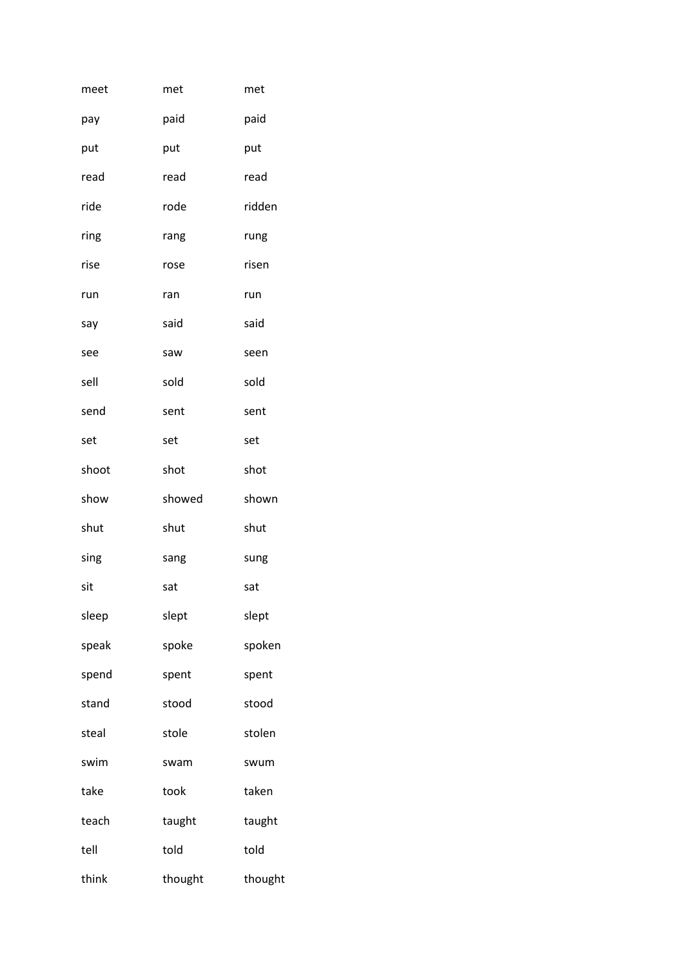| meet  | met     | met     |
|-------|---------|---------|
| pay   | paid    | paid    |
| put   | put     | put     |
| read  | read    | read    |
| ride  | rode    | ridden  |
| ring  | rang    | rung    |
| rise  | rose    | risen   |
| run   | ran     | run     |
| say   | said    | said    |
| see   | saw     | seen    |
| sell  | sold    | sold    |
| send  | sent    | sent    |
| set   | set     | set     |
| shoot | shot    | shot    |
| show  | showed  | shown   |
| shut  | shut    | shut    |
| sing  | sang    | sung    |
| sit   | sat     | sat     |
| sleep | slept   | slept   |
| speak | spoke   | spoken  |
| spend | spent   | spent   |
| stand | stood   | stood   |
| steal | stole   | stolen  |
| swim  | swam    | swum    |
| take  | took    | taken   |
| teach | taught  | taught  |
| tell  | told    | told    |
| think | thought | thought |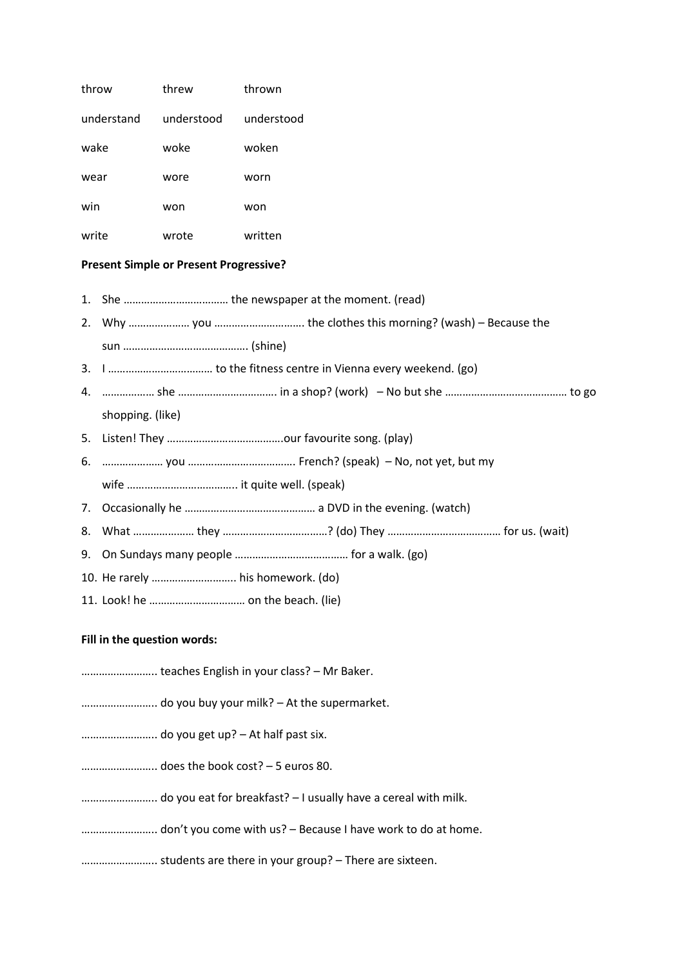| throw                                         |                             | threw      | thrown                                                                                                         |
|-----------------------------------------------|-----------------------------|------------|----------------------------------------------------------------------------------------------------------------|
|                                               | understand                  | understood | understood                                                                                                     |
| wake                                          |                             | woke       | woken                                                                                                          |
| wear                                          |                             | wore       | worn                                                                                                           |
| win                                           |                             | won        | won                                                                                                            |
| write                                         |                             | wrote      | written                                                                                                        |
| <b>Present Simple or Present Progressive?</b> |                             |            |                                                                                                                |
| 1.                                            |                             |            |                                                                                                                |
|                                               |                             |            |                                                                                                                |
|                                               |                             |            |                                                                                                                |
|                                               |                             |            |                                                                                                                |
| 4.                                            |                             |            | medical metal of No but she mentioned to go to she with the summer to go the mention of the state of the state |
|                                               | shopping. (like)            |            |                                                                                                                |
| 5.                                            |                             |            |                                                                                                                |
| 6.                                            |                             |            |                                                                                                                |
|                                               |                             |            |                                                                                                                |
| 7.                                            |                             |            |                                                                                                                |
| 8.                                            |                             |            |                                                                                                                |
|                                               |                             |            |                                                                                                                |
|                                               |                             |            | 10. He rarely  his homework. (do)                                                                              |
|                                               |                             |            |                                                                                                                |
|                                               | Fill in the superior weapon |            |                                                                                                                |

### **Fill in the question words:**